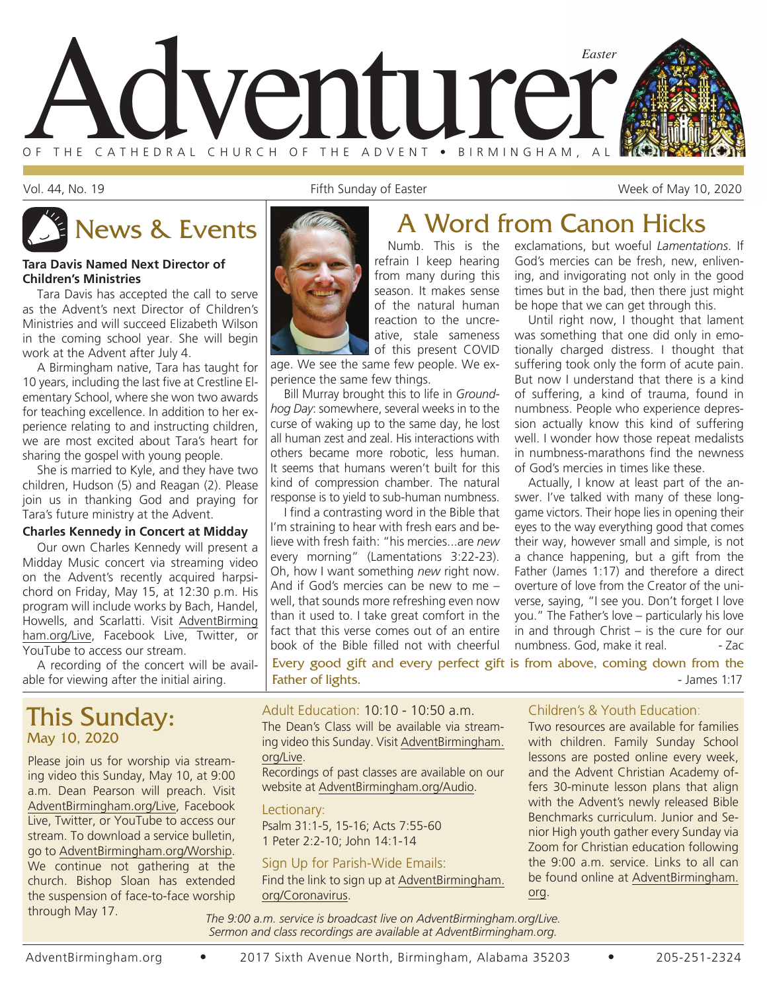

Vol. 44, No. 19 The Sunday of Easter The Sunday of Easter The Sunday of Easter The Sunday of Easter Week of May 10, 2020

#### **Tara Davis Named Next Director of Children's Ministries**

Tara Davis has accepted the call to serve as the Advent's next Director of Children's Ministries and will succeed Elizabeth Wilson in the coming school year. She will begin work at the Advent after July 4.

A Birmingham native, Tara has taught for 10 years, including the last five at Crestline Elementary School, where she won two awards for teaching excellence. In addition to her experience relating to and instructing children, we are most excited about Tara's heart for sharing the gospel with young people.

She is married to Kyle, and they have two children, Hudson (5) and Reagan (2). Please join us in thanking God and praying for Tara's future ministry at the Advent.

#### **Charles Kennedy in Concert at Midday**

Our own Charles Kennedy will present a Midday Music concert via streaming video on the Advent's recently acquired harpsichord on Friday, May 15, at 12:30 p.m. His program will include works by Bach, Handel, Howells, and Scarlatti. Visit AdventBirming ham.org/Live, Facebook Live, Twitter, or YouTube to access our stream.

A recording of the concert will be available for viewing after the initial airing.

## This Sunday: May 10, 2020

Please join us for worship via streaming video this Sunday, May 10, at 9:00 a.m. Dean Pearson will preach. Visit AdventBirmingham.org/Live, Facebook Live, Twitter, or YouTube to access our stream. To download a service bulletin, go to AdventBirmingham.org/Worship. We continue not gathering at the church. Bishop Sloan has extended the suspension of face-to-face worship through May 17.

#### refrain I keep hearing from many during this season. It makes sense of the natural human reaction to the uncreative, stale sameness of this present COVID

age. We see the same few people. We experience the same few things.

Bill Murray brought this to life in *Groundhog Day*: somewhere, several weeks in to the curse of waking up to the same day, he lost all human zest and zeal. His interactions with others became more robotic, less human. It seems that humans weren't built for this kind of compression chamber. The natural response is to yield to sub-human numbness.

I find a contrasting word in the Bible that I'm straining to hear with fresh ears and believe with fresh faith: "his mercies...are *new* every morning" (Lamentations 3:22-23). Oh, how I want something *new* right now. And if God's mercies can be new to me – well, that sounds more refreshing even now than it used to. I take great comfort in the fact that this verse comes out of an entire book of the Bible filled not with cheerful

Every good gift and every perfect gift is from above, coming down from the Father of lights.  $\blacksquare$ 

### Adult Education: 10:10 - 10:50 a.m.

The Dean's Class will be available via streaming video this Sunday. Visit AdventBirmingham. org/Live.

Recordings of past classes are available on our website at AdventBirmingham.org/Audio.

#### Lectionary:

Psalm 31:1-5, 15-16; Acts 7:55-60 1 Peter 2:2-10; John 14:1-14

#### Sign Up for Parish-Wide Emails:

Find the link to sign up at AdventBirmingham. org/Coronavirus.

# News & Events **A Word from Canon Hicks**

Numb. This is the exclamations, but woeful *Lamentations*. If God's mercies can be fresh, new, enlivening, and invigorating not only in the good times but in the bad, then there just might be hope that we can get through this.

Until right now, I thought that lament was something that one did only in emotionally charged distress. I thought that suffering took only the form of acute pain. But now I understand that there is a kind of suffering, a kind of trauma, found in numbness. People who experience depression actually know this kind of suffering well. I wonder how those repeat medalists in numbness-marathons find the newness of God's mercies in times like these.

Actually, I know at least part of the answer. I've talked with many of these longgame victors. Their hope lies in opening their eyes to the way everything good that comes their way, however small and simple, is not a chance happening, but a gift from the Father (James 1:17) and therefore a direct overture of love from the Creator of the universe, saying, "I see you. Don't forget I love you." The Father's love – particularly his love in and through Christ – is the cure for our numbness. God, make it real. - Zac

#### Children's & Youth Education:

Two resources are available for families with children. Family Sunday School lessons are posted online every week, and the Advent Christian Academy offers 30-minute lesson plans that align with the Advent's newly released Bible Benchmarks curriculum. Junior and Senior High youth gather every Sunday via Zoom for Christian education following the 9:00 a.m. service. Links to all can be found online at AdventBirmingham. org.

*The 9:00 a.m. service is broadcast live on AdventBirmingham.org/Live. Sermon and class recordings are available at AdventBirmingham.org.*